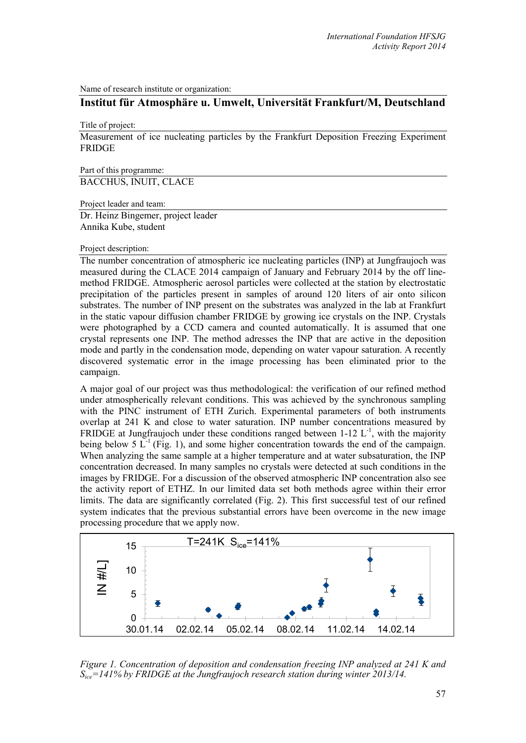Name of research institute or organization:

# **Institut für Atmosphäre u. Umwelt, Universität Frankfurt/M, Deutschland**

Title of project:

Measurement of ice nucleating particles by the Frankfurt Deposition Freezing Experiment FRIDGE

Part of this programme: BACCHUS, INUIT, CLACE

Project leader and team:

Dr. Heinz Bingemer, project leader Annika Kube, student

## Project description:

The number concentration of atmospheric ice nucleating particles (INP) at Jungfraujoch was measured during the CLACE 2014 campaign of January and February 2014 by the off linemethod FRIDGE. Atmospheric aerosol particles were collected at the station by electrostatic precipitation of the particles present in samples of around 120 liters of air onto silicon substrates. The number of INP present on the substrates was analyzed in the lab at Frankfurt in the static vapour diffusion chamber FRIDGE by growing ice crystals on the INP. Crystals were photographed by a CCD camera and counted automatically. It is assumed that one crystal represents one INP. The method adresses the INP that are active in the deposition mode and partly in the condensation mode, depending on water vapour saturation. A recently discovered systematic error in the image processing has been eliminated prior to the campaign.

A major goal of our project was thus methodological: the verification of our refined method under atmospherically relevant conditions. This was achieved by the synchronous sampling with the PINC instrument of ETH Zurich. Experimental parameters of both instruments overlap at 241 K and close to water saturation. INP number concentrations measured by FRIDGE at Jungfraujoch under these conditions ranged between 1-12  $L^{-1}$ , with the majority being below 5  $L^{-1}$  (Fig. 1), and some higher concentration towards the end of the campaign. When analyzing the same sample at a higher temperature and at water subsaturation, the INP concentration decreased. In many samples no crystals were detected at such conditions in the images by FRIDGE. For a discussion of the observed atmospheric INP concentration also see the activity report of ETHZ. In our limited data set both methods agree within their error limits. The data are significantly correlated (Fig. 2). This first successful test of our refined system indicates that the previous substantial errors have been overcome in the new image processing procedure that we apply now.



*Figure 1. Concentration of deposition and condensation freezing INP analyzed at 241 K and Sice=141% by FRIDGE at the Jungfraujoch research station during winter 2013/14.*